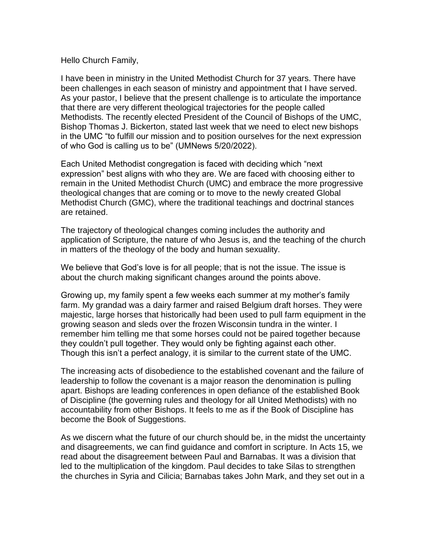## Hello Church Family,

I have been in ministry in the United Methodist Church for 37 years. There have been challenges in each season of ministry and appointment that I have served. As your pastor, I believe that the present challenge is to articulate the importance that there are very different theological trajectories for the people called Methodists. The recently elected President of the Council of Bishops of the UMC, Bishop Thomas J. Bickerton, stated last week that we need to elect new bishops in the UMC "to fulfill our mission and to position ourselves for the next expression of who God is calling us to be" (UMNews 5/20/2022).

Each United Methodist congregation is faced with deciding which "next expression" best aligns with who they are. We are faced with choosing either to remain in the United Methodist Church (UMC) and embrace the more progressive theological changes that are coming or to move to the newly created Global Methodist Church (GMC), where the traditional teachings and doctrinal stances are retained.

The trajectory of theological changes coming includes the authority and application of Scripture, the nature of who Jesus is, and the teaching of the church in matters of the theology of the body and human sexuality.

We believe that God's love is for all people; that is not the issue. The issue is about the church making significant changes around the points above.

Growing up, my family spent a few weeks each summer at my mother's family farm. My grandad was a dairy farmer and raised Belgium draft horses. They were majestic, large horses that historically had been used to pull farm equipment in the growing season and sleds over the frozen Wisconsin tundra in the winter. I remember him telling me that some horses could not be paired together because they couldn't pull together. They would only be fighting against each other. Though this isn't a perfect analogy, it is similar to the current state of the UMC.

The increasing acts of disobedience to the established covenant and the failure of leadership to follow the covenant is a major reason the denomination is pulling apart. Bishops are leading conferences in open defiance of the established Book of Discipline (the governing rules and theology for all United Methodists) with no accountability from other Bishops. It feels to me as if the Book of Discipline has become the Book of Suggestions.

As we discern what the future of our church should be, in the midst the uncertainty and disagreements, we can find guidance and comfort in scripture. In Acts 15, we read about the disagreement between Paul and Barnabas. It was a division that led to the multiplication of the kingdom. Paul decides to take Silas to strengthen the churches in Syria and Cilicia; Barnabas takes John Mark, and they set out in a